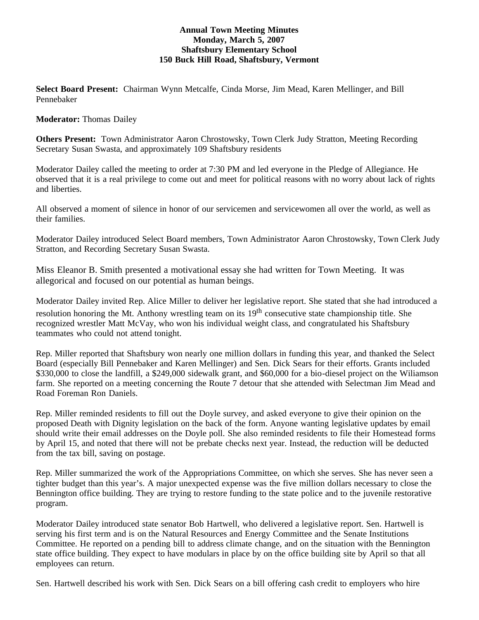# **Annual Town Meeting Minutes Monday, March 5, 2007 Shaftsbury Elementary School 150 Buck Hill Road, Shaftsbury, Vermont**

**Select Board Present:** Chairman Wynn Metcalfe, Cinda Morse, Jim Mead, Karen Mellinger, and Bill Pennebaker

## **Moderator:** Thomas Dailey

**Others Present:** Town Administrator Aaron Chrostowsky, Town Clerk Judy Stratton, Meeting Recording Secretary Susan Swasta, and approximately 109 Shaftsbury residents

Moderator Dailey called the meeting to order at 7:30 PM and led everyone in the Pledge of Allegiance. He observed that it is a real privilege to come out and meet for political reasons with no worry about lack of rights and liberties.

All observed a moment of silence in honor of our servicemen and servicewomen all over the world, as well as their families.

Moderator Dailey introduced Select Board members, Town Administrator Aaron Chrostowsky, Town Clerk Judy Stratton, and Recording Secretary Susan Swasta.

Miss Eleanor B. Smith presented a motivational essay she had written for Town Meeting. It was allegorical and focused on our potential as human beings.

Moderator Dailey invited Rep. Alice Miller to deliver her legislative report. She stated that she had introduced a resolution honoring the Mt. Anthony wrestling team on its  $19<sup>th</sup>$  consecutive state championship title. She recognized wrestler Matt McVay, who won his individual weight class, and congratulated his Shaftsbury teammates who could not attend tonight.

Rep. Miller reported that Shaftsbury won nearly one million dollars in funding this year, and thanked the Select Board (especially Bill Pennebaker and Karen Mellinger) and Sen. Dick Sears for their efforts. Grants included \$330,000 to close the landfill, a \$249,000 sidewalk grant, and \$60,000 for a bio-diesel project on the Wiliamson farm. She reported on a meeting concerning the Route 7 detour that she attended with Selectman Jim Mead and Road Foreman Ron Daniels.

Rep. Miller reminded residents to fill out the Doyle survey, and asked everyone to give their opinion on the proposed Death with Dignity legislation on the back of the form. Anyone wanting legislative updates by email should write their email addresses on the Doyle poll. She also reminded residents to file their Homestead forms by April 15, and noted that there will not be prebate checks next year. Instead, the reduction will be deducted from the tax bill, saving on postage.

Rep. Miller summarized the work of the Appropriations Committee, on which she serves. She has never seen a tighter budget than this year's. A major unexpected expense was the five million dollars necessary to close the Bennington office building. They are trying to restore funding to the state police and to the juvenile restorative program.

Moderator Dailey introduced state senator Bob Hartwell, who delivered a legislative report. Sen. Hartwell is serving his first term and is on the Natural Resources and Energy Committee and the Senate Institutions Committee. He reported on a pending bill to address climate change, and on the situation with the Bennington state office building. They expect to have modulars in place by on the office building site by April so that all employees can return.

Sen. Hartwell described his work with Sen. Dick Sears on a bill offering cash credit to employers who hire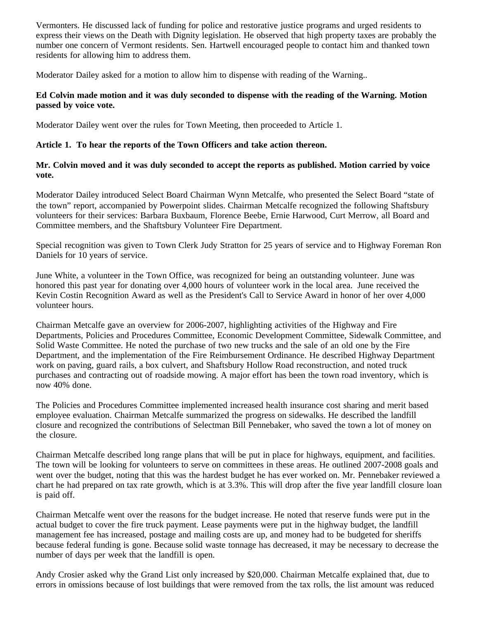Vermonters. He discussed lack of funding for police and restorative justice programs and urged residents to express their views on the Death with Dignity legislation. He observed that high property taxes are probably the number one concern of Vermont residents. Sen. Hartwell encouraged people to contact him and thanked town residents for allowing him to address them.

Moderator Dailey asked for a motion to allow him to dispense with reading of the Warning..

# **Ed Colvin made motion and it was duly seconded to dispense with the reading of the Warning. Motion passed by voice vote.**

Moderator Dailey went over the rules for Town Meeting, then proceeded to Article 1.

# **Article 1. To hear the reports of the Town Officers and take action thereon.**

**Mr. Colvin moved and it was duly seconded to accept the reports as published. Motion carried by voice vote.**

Moderator Dailey introduced Select Board Chairman Wynn Metcalfe, who presented the Select Board "state of the town" report, accompanied by Powerpoint slides. Chairman Metcalfe recognized the following Shaftsbury volunteers for their services: Barbara Buxbaum, Florence Beebe, Ernie Harwood, Curt Merrow, all Board and Committee members, and the Shaftsbury Volunteer Fire Department.

Special recognition was given to Town Clerk Judy Stratton for 25 years of service and to Highway Foreman Ron Daniels for 10 years of service.

June White, a volunteer in the Town Office, was recognized for being an outstanding volunteer. June was honored this past year for donating over 4,000 hours of volunteer work in the local area. June received the Kevin Costin Recognition Award as well as the President's Call to Service Award in honor of her over 4,000 volunteer hours.

Chairman Metcalfe gave an overview for 2006-2007, highlighting activities of the Highway and Fire Departments, Policies and Procedures Committee, Economic Development Committee, Sidewalk Committee, and Solid Waste Committee. He noted the purchase of two new trucks and the sale of an old one by the Fire Department, and the implementation of the Fire Reimbursement Ordinance. He described Highway Department work on paving, guard rails, a box culvert, and Shaftsbury Hollow Road reconstruction, and noted truck purchases and contracting out of roadside mowing. A major effort has been the town road inventory, which is now 40% done.

The Policies and Procedures Committee implemented increased health insurance cost sharing and merit based employee evaluation. Chairman Metcalfe summarized the progress on sidewalks. He described the landfill closure and recognized the contributions of Selectman Bill Pennebaker, who saved the town a lot of money on the closure.

Chairman Metcalfe described long range plans that will be put in place for highways, equipment, and facilities. The town will be looking for volunteers to serve on committees in these areas. He outlined 2007-2008 goals and went over the budget, noting that this was the hardest budget he has ever worked on. Mr. Pennebaker reviewed a chart he had prepared on tax rate growth, which is at 3.3%. This will drop after the five year landfill closure loan is paid off.

Chairman Metcalfe went over the reasons for the budget increase. He noted that reserve funds were put in the actual budget to cover the fire truck payment. Lease payments were put in the highway budget, the landfill management fee has increased, postage and mailing costs are up, and money had to be budgeted for sheriffs because federal funding is gone. Because solid waste tonnage has decreased, it may be necessary to decrease the number of days per week that the landfill is open.

Andy Crosier asked why the Grand List only increased by \$20,000. Chairman Metcalfe explained that, due to errors in omissions because of lost buildings that were removed from the tax rolls, the list amount was reduced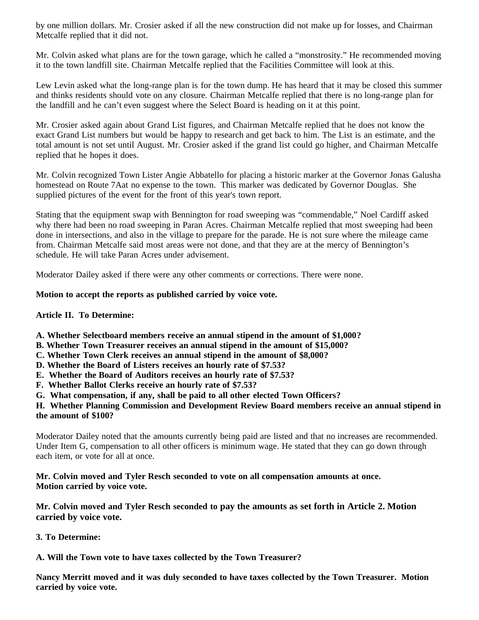by one million dollars. Mr. Crosier asked if all the new construction did not make up for losses, and Chairman Metcalfe replied that it did not.

Mr. Colvin asked what plans are for the town garage, which he called a "monstrosity." He recommended moving it to the town landfill site. Chairman Metcalfe replied that the Facilities Committee will look at this.

Lew Levin asked what the long-range plan is for the town dump. He has heard that it may be closed this summer and thinks residents should vote on any closure. Chairman Metcalfe replied that there is no long-range plan for the landfill and he can't even suggest where the Select Board is heading on it at this point.

Mr. Crosier asked again about Grand List figures, and Chairman Metcalfe replied that he does not know the exact Grand List numbers but would be happy to research and get back to him. The List is an estimate, and the total amount is not set until August. Mr. Crosier asked if the grand list could go higher, and Chairman Metcalfe replied that he hopes it does.

Mr. Colvin recognized Town Lister Angie Abbatello for placing a historic marker at the Governor Jonas Galusha homestead on Route 7Aat no expense to the town. This marker was dedicated by Governor Douglas. She supplied pictures of the event for the front of this year's town report.

Stating that the equipment swap with Bennington for road sweeping was "commendable," Noel Cardiff asked why there had been no road sweeping in Paran Acres. Chairman Metcalfe replied that most sweeping had been done in intersections, and also in the village to prepare for the parade. He is not sure where the mileage came from. Chairman Metcalfe said most areas were not done, and that they are at the mercy of Bennington's schedule. He will take Paran Acres under advisement.

Moderator Dailey asked if there were any other comments or corrections. There were none.

# **Motion to accept the reports as published carried by voice vote.**

# **Article II. To Determine:**

- **A. Whether Selectboard members receive an annual stipend in the amount of \$1,000?**
- **B. Whether Town Treasurer receives an annual stipend in the amount of \$15,000?**
- **C. Whether Town Clerk receives an annual stipend in the amount of \$8,000?**
- **D. Whether the Board of Listers receives an hourly rate of \$7.53?**
- **E. Whether the Board of Auditors receives an hourly rate of \$7.53?**
- **F. Whether Ballot Clerks receive an hourly rate of \$7.53?**
- **G. What compensation, if any, shall be paid to all other elected Town Officers?**

**H. Whether Planning Commission and Development Review Board members receive an annual stipend in the amount of \$100?**

Moderator Dailey noted that the amounts currently being paid are listed and that no increases are recommended. Under Item G, compensation to all other officers is minimum wage. He stated that they can go down through each item, or vote for all at once.

**Mr. Colvin moved and Tyler Resch seconded to vote on all compensation amounts at once. Motion carried by voice vote.** 

**Mr. Colvin moved and Tyler Resch seconded to pay the amounts as set forth in Article 2. Motion carried by voice vote.**

**3. To Determine:**

**A. Will the Town vote to have taxes collected by the Town Treasurer?**

**Nancy Merritt moved and it was duly seconded to have taxes collected by the Town Treasurer. Motion carried by voice vote.**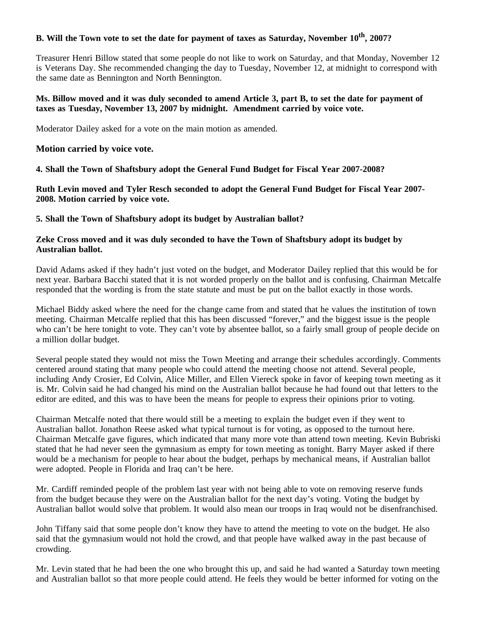# **B. Will the Town vote to set the date for payment of taxes as Saturday, November 10<sup>th</sup>, 2007?**

Treasurer Henri Billow stated that some people do not like to work on Saturday, and that Monday, November 12 is Veterans Day. She recommended changing the day to Tuesday, November 12, at midnight to correspond with the same date as Bennington and North Bennington.

## **Ms. Billow moved and it was duly seconded to amend Article 3, part B, to set the date for payment of taxes as Tuesday, November 13, 2007 by midnight. Amendment carried by voice vote.**

Moderator Dailey asked for a vote on the main motion as amended.

#### **Motion carried by voice vote.**

**4. Shall the Town of Shaftsbury adopt the General Fund Budget for Fiscal Year 2007-2008?**

**Ruth Levin moved and Tyler Resch seconded to adopt the General Fund Budget for Fiscal Year 2007- 2008. Motion carried by voice vote.** 

#### **5. Shall the Town of Shaftsbury adopt its budget by Australian ballot?**

## **Zeke Cross moved and it was duly seconded to have the Town of Shaftsbury adopt its budget by Australian ballot.**

David Adams asked if they hadn't just voted on the budget, and Moderator Dailey replied that this would be for next year. Barbara Bacchi stated that it is not worded properly on the ballot and is confusing. Chairman Metcalfe responded that the wording is from the state statute and must be put on the ballot exactly in those words.

Michael Biddy asked where the need for the change came from and stated that he values the institution of town meeting. Chairman Metcalfe replied that this has been discussed "forever," and the biggest issue is the people who can't be here tonight to vote. They can't vote by absentee ballot, so a fairly small group of people decide on a million dollar budget.

Several people stated they would not miss the Town Meeting and arrange their schedules accordingly. Comments centered around stating that many people who could attend the meeting choose not attend. Several people, including Andy Crosier, Ed Colvin, Alice Miller, and Ellen Viereck spoke in favor of keeping town meeting as it is. Mr. Colvin said he had changed his mind on the Australian ballot because he had found out that letters to the editor are edited, and this was to have been the means for people to express their opinions prior to voting.

Chairman Metcalfe noted that there would still be a meeting to explain the budget even if they went to Australian ballot. Jonathon Reese asked what typical turnout is for voting, as opposed to the turnout here. Chairman Metcalfe gave figures, which indicated that many more vote than attend town meeting. Kevin Bubriski stated that he had never seen the gymnasium as empty for town meeting as tonight. Barry Mayer asked if there would be a mechanism for people to hear about the budget, perhaps by mechanical means, if Australian ballot were adopted. People in Florida and Iraq can't be here.

Mr. Cardiff reminded people of the problem last year with not being able to vote on removing reserve funds from the budget because they were on the Australian ballot for the next day's voting. Voting the budget by Australian ballot would solve that problem. It would also mean our troops in Iraq would not be disenfranchised.

John Tiffany said that some people don't know they have to attend the meeting to vote on the budget. He also said that the gymnasium would not hold the crowd, and that people have walked away in the past because of crowding.

Mr. Levin stated that he had been the one who brought this up, and said he had wanted a Saturday town meeting and Australian ballot so that more people could attend. He feels they would be better informed for voting on the